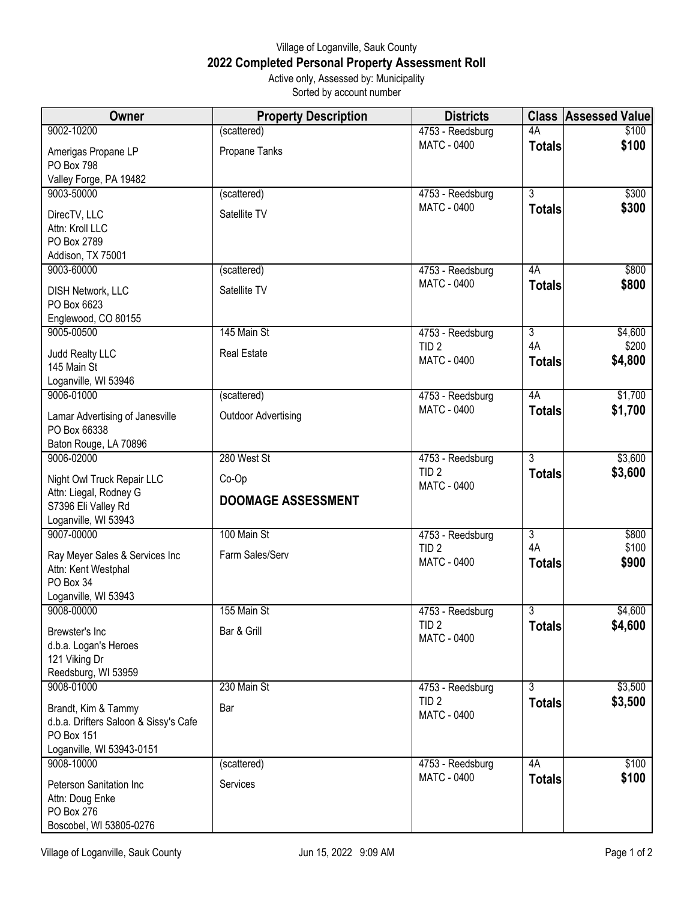## Village of Loganville, Sauk County **2022 Completed Personal Property Assessment Roll** Active only, Assessed by: Municipality

Sorted by account number

| Owner                                      | <b>Property Description</b> | <b>Districts</b>                       |                | <b>Class Assessed Value</b> |
|--------------------------------------------|-----------------------------|----------------------------------------|----------------|-----------------------------|
| 9002-10200                                 | (scattered)                 | 4753 - Reedsburg                       | 4A             | \$100                       |
| Amerigas Propane LP                        | Propane Tanks               | MATC - 0400                            | <b>Totals</b>  | \$100                       |
| PO Box 798                                 |                             |                                        |                |                             |
| Valley Forge, PA 19482                     |                             |                                        |                |                             |
| 9003-50000                                 | (scattered)                 | 4753 - Reedsburg                       | 3              | \$300                       |
| DirecTV, LLC                               | Satellite TV                | MATC - 0400                            | <b>Totals</b>  | \$300                       |
| Attn: Kroll LLC                            |                             |                                        |                |                             |
| PO Box 2789<br>Addison, TX 75001           |                             |                                        |                |                             |
| 9003-60000                                 | (scattered)                 | 4753 - Reedsburg                       | 4A             | \$800                       |
|                                            |                             | <b>MATC - 0400</b>                     | <b>Totals</b>  | \$800                       |
| DISH Network, LLC<br>PO Box 6623           | Satellite TV                |                                        |                |                             |
| Englewood, CO 80155                        |                             |                                        |                |                             |
| 9005-00500                                 | 145 Main St                 | 4753 - Reedsburg                       | $\overline{3}$ | \$4,600                     |
| Judd Realty LLC                            | <b>Real Estate</b>          | TID <sub>2</sub>                       | 4A             | \$200                       |
| 145 Main St                                |                             | <b>MATC - 0400</b>                     | <b>Totals</b>  | \$4,800                     |
| Loganville, WI 53946                       |                             |                                        |                |                             |
| 9006-01000                                 | (scattered)                 | 4753 - Reedsburg                       | 4A             | \$1,700                     |
| Lamar Advertising of Janesville            | <b>Outdoor Advertising</b>  | <b>MATC - 0400</b>                     | <b>Totals</b>  | \$1,700                     |
| PO Box 66338                               |                             |                                        |                |                             |
| Baton Rouge, LA 70896                      |                             |                                        |                |                             |
| 9006-02000                                 | 280 West St                 | 4753 - Reedsburg                       | 3              | \$3,600                     |
| Night Owl Truck Repair LLC                 | Co-Op                       | TID <sub>2</sub><br><b>MATC - 0400</b> | <b>Totals</b>  | \$3,600                     |
| Attn: Liegal, Rodney G                     | <b>DOOMAGE ASSESSMENT</b>   |                                        |                |                             |
| S7396 Eli Valley Rd                        |                             |                                        |                |                             |
| Loganville, WI 53943<br>9007-00000         | 100 Main St                 | 4753 - Reedsburg                       | $\overline{3}$ | \$800                       |
|                                            |                             | TID <sub>2</sub>                       | 4A             | \$100                       |
| Ray Meyer Sales & Services Inc             | Farm Sales/Serv             | <b>MATC - 0400</b>                     | <b>Totals</b>  | \$900                       |
| Attn: Kent Westphal<br>PO Box 34           |                             |                                        |                |                             |
| Loganville, WI 53943                       |                             |                                        |                |                             |
| 9008-00000                                 | 155 Main St                 | 4753 - Reedsburg                       | $\overline{3}$ | \$4,600                     |
| Brewster's Inc                             | Bar & Grill                 | TID <sub>2</sub>                       | <b>Totals</b>  | \$4,600                     |
| d.b.a. Logan's Heroes                      |                             | <b>MATC - 0400</b>                     |                |                             |
| 121 Viking Dr                              |                             |                                        |                |                             |
| Reedsburg, WI 53959                        |                             |                                        |                |                             |
| 9008-01000                                 | 230 Main St                 | 4753 - Reedsburg<br>TID <sub>2</sub>   | 3              | \$3,500                     |
| Brandt, Kim & Tammy                        | Bar                         | <b>MATC - 0400</b>                     | <b>Totals</b>  | \$3,500                     |
| d.b.a. Drifters Saloon & Sissy's Cafe      |                             |                                        |                |                             |
| PO Box 151<br>Loganville, WI 53943-0151    |                             |                                        |                |                             |
| 9008-10000                                 | (scattered)                 | 4753 - Reedsburg                       | 4A             | \$100                       |
|                                            | Services                    | MATC - 0400                            | <b>Totals</b>  | \$100                       |
| Peterson Sanitation Inc<br>Attn: Doug Enke |                             |                                        |                |                             |
| PO Box 276                                 |                             |                                        |                |                             |
| Boscobel, WI 53805-0276                    |                             |                                        |                |                             |